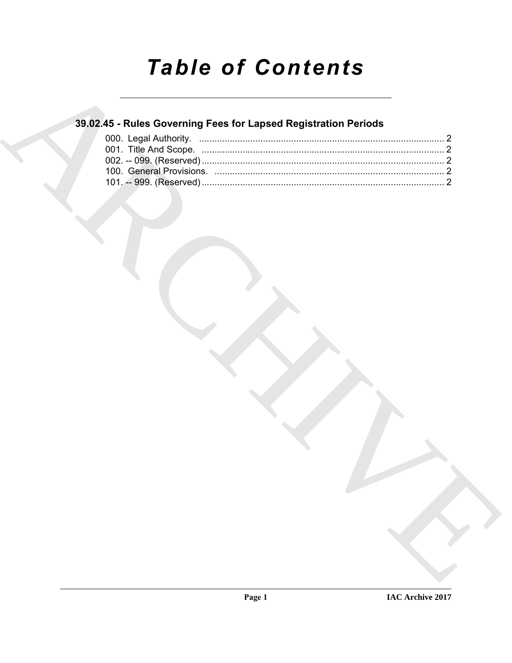# **Table of Contents**

### 39.02.45 - Rules Governing Fees for Lapsed Registration Periods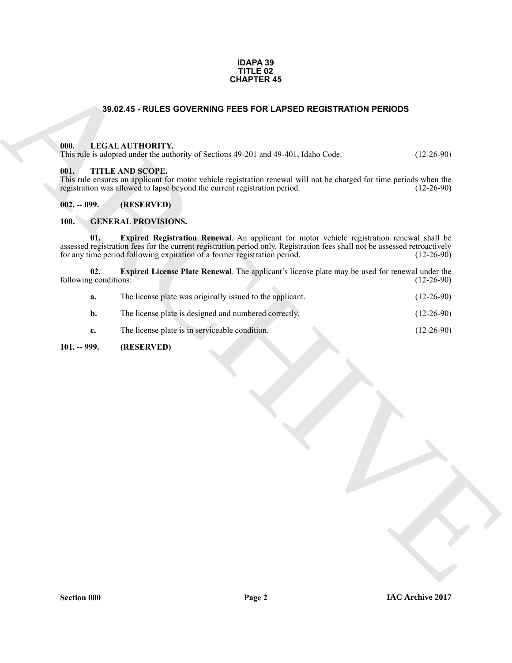#### **IDAPA 39 TITLE 02 CHAPTER 45**

#### **39.02.45 - RULES GOVERNING FEES FOR LAPSED REGISTRATION PERIODS**

#### <span id="page-1-1"></span><span id="page-1-0"></span>**000. LEGAL AUTHORITY.**

#### <span id="page-1-2"></span>**001. TITLE AND SCOPE.**

#### <span id="page-1-3"></span>**002. -- 099. (RESERVED)**

#### <span id="page-1-8"></span><span id="page-1-7"></span><span id="page-1-6"></span><span id="page-1-4"></span>**100. GENERAL PROVISIONS.**

|                              | <b>CHAPTER 45</b>                                                                                                                                                                                                                                                                                                               |                              |
|------------------------------|---------------------------------------------------------------------------------------------------------------------------------------------------------------------------------------------------------------------------------------------------------------------------------------------------------------------------------|------------------------------|
|                              | 39.02.45 - RULES GOVERNING FEES FOR LAPSED REGISTRATION PERIODS                                                                                                                                                                                                                                                                 |                              |
| 000.<br>001.                 | LEGAL AUTHORITY.<br>This rule is adopted under the authority of Sections 49-201 and 49-401, Idaho Code.<br>TITLE AND SCOPE.<br>This rule ensures an applicant for motor vehicle registration renewal will not be charged for time periods when the<br>registration was allowed to lapse beyond the current registration period. | $(12-26-90)$<br>$(12-26-90)$ |
| $002. - 099.$                | (RESERVED)                                                                                                                                                                                                                                                                                                                      |                              |
| 100.                         | <b>GENERAL PROVISIONS.</b>                                                                                                                                                                                                                                                                                                      |                              |
| 01.                          | Expired Registration Renewal. An applicant for motor vehicle registration renewal shall be<br>assessed registration fees for the current registration period only. Registration fees shall not be assessed retroactively<br>for any time period following expiration of a former registration period. (12-26-90)                |                              |
| 02.<br>following conditions: | Expired License Plate Renewal. The applicant's license plate may be used for renewal under the                                                                                                                                                                                                                                  | $(12-26-90)$                 |
| a.                           | The license plate was originally issued to the applicant.                                                                                                                                                                                                                                                                       | $(12-26-90)$                 |
| b.                           | The license plate is designed and numbered correctly.                                                                                                                                                                                                                                                                           | $(12-26-90)$                 |
| c.                           | The license plate is in serviceable condition.                                                                                                                                                                                                                                                                                  | $(12-26-90)$                 |
| $101. - 999.$                | (RESERVED)                                                                                                                                                                                                                                                                                                                      |                              |
|                              |                                                                                                                                                                                                                                                                                                                                 |                              |

#### <span id="page-1-5"></span>**101. -- 999. (RESERVED)**